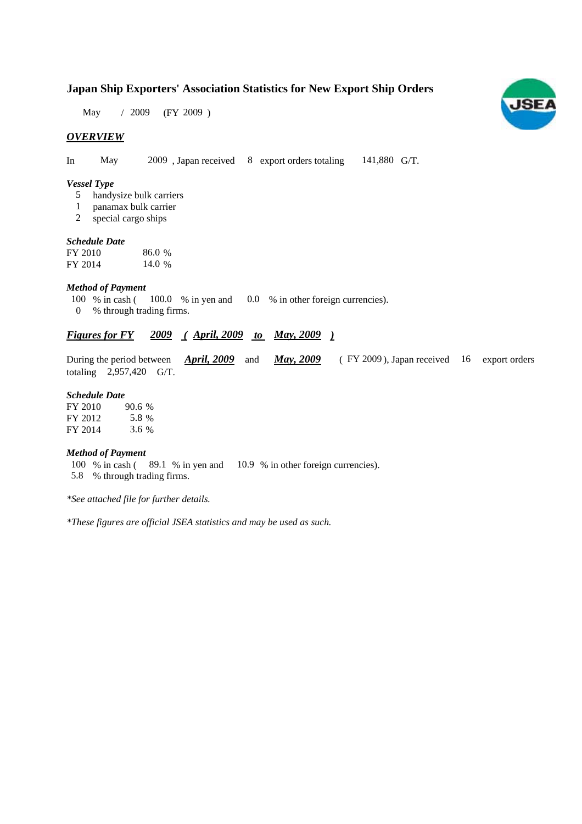## **Japan Ship Exporters' Association Statistics for New Export Ship Orders**

May / 2009 (FY 2009)

### *OVERVIEW*

In May 2009, Japan received 8 export orders totaling 141,880 G/T.

#### *Vessel Type*

- handysize bulk carriers 5
- panamax bulk carrier 1
- special cargo ships 2

#### *Schedule Date*

| FY 2010 | 86.0 % |
|---------|--------|
| FY 2014 | 14.0 % |

#### *Method of Payment*

- % in cash ( $100.0$  % in yen and  $0.0$  % in other foreign currencies). % through trading firms. 0 100 % in cash (100.0 % in yen and
- 

### *Figures for FY* 2009 (April, 2009 to May, 2009)

During the period between **April, 2009** and **May, 2009** (FY 2009), Japan received 16 export orders totaling  $2,957,420$  G/T. *April, 2009* and *May, 2009* 

#### *Schedule Date*

| FY 2010 | 90.6% |
|---------|-------|
| FY 2012 | 5.8 % |
| FY 2014 | 3.6 % |

#### *Method of Payment*

100 % in cash (89.1 % in yen and 10.9 % in other foreign currencies). % through trading firms. 5.8

*\*See attached file for further details.*

*\*These figures are official JSEA statistics and may be used as such.*

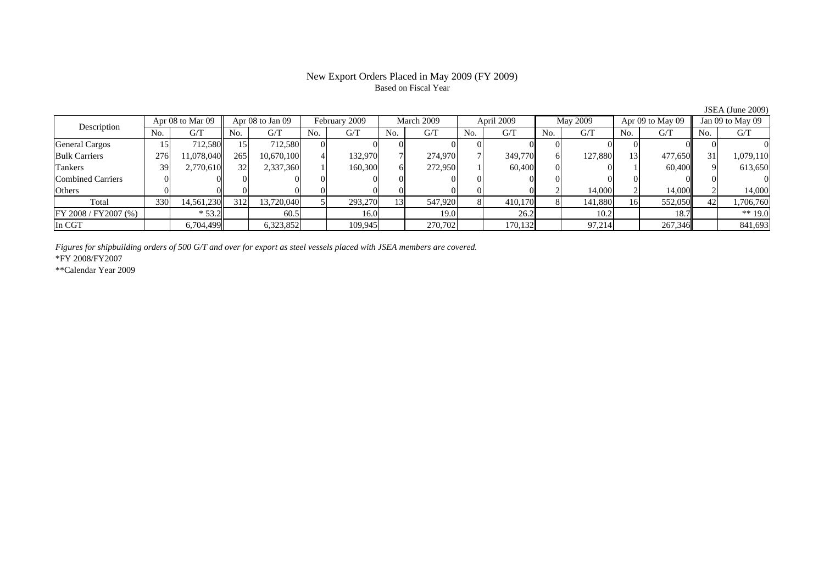#### New Export Orders Placed in May 2009 (FY 2009) Based on Fiscal Year

JSEA (June 2009)<br>Jan 09 to May 09 No. G/T No. G/T No. G/T No. G/T No. G/T No. G/T No. G/T No. G/TGeneral Cargos 15 712,580 15 712,580 0 0 0 0 0 0 0 0 0 0 0 0 Bulk Carriers | 276| 11,078,040|| 265| 10,670,100| 4| 132,970| 7| 274,970| 7| 349,770| 6| 127,880| 13| 477,650|| 31| 1,079,110 Tankers | 39| 2,770,610|| 32| 2,337,360| 1| 160,300| 6| 272,950| 1| 60,400| 0| 1| 60,400|| 9| 613,650 Combined Carriers 0 0 0 0 0 0 0 0 0 0 0 0 0 0 0 0Others | 0 | 0 | 0 | 0 | 0 | 0 | 0 | 0 | 2 | 14,000 | 2 | 14,000 Total 330 14,561,230 312 13,720,040 5 293,270 13 547,920 8 410,170 8 141,880 16 552,050 42 1,706,760 FY 2008 / FY 2007 (%) \* 53.2 60.5 16.0 19.0 26.2 10.2 10.2 18.7 \*\* 19.0 In CGT | | 6,704,499| | 6,323,852| | 109,945| | 270,702| | 170,132| | 97,214| | 267,346|| | 841,693 Description Apr 08 to Mar 09 | Apr 08 to Jan 09 | February 2009 | March 2009 | April 2009 May 2009 | Apr 09 to May 09

*Figures for shipbuilding orders of 500 G/T and over for export as steel vessels placed with JSEA members are covered.*

\*FY 2008/FY2007

\*\*Calendar Year 2009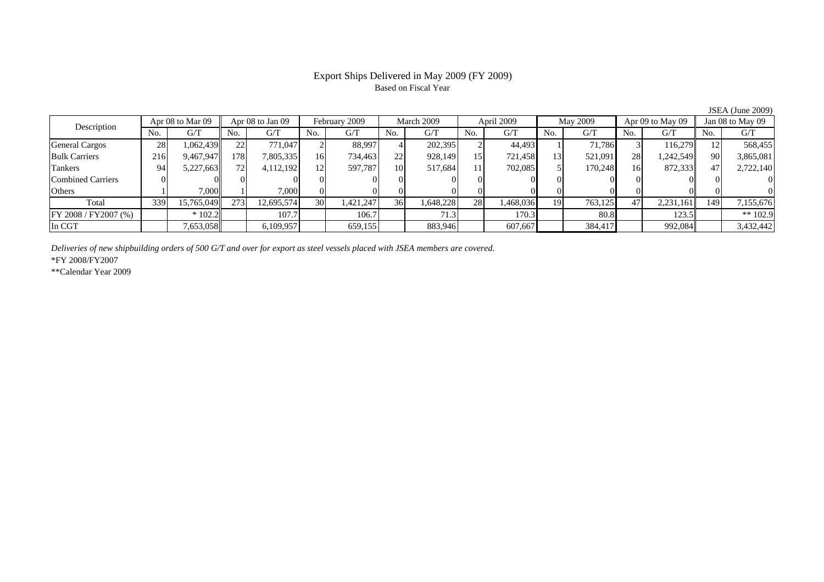# Based on Fiscal Year

No. I G/T II No. I G/T II No. I G/T II No. I G/T G/T II No. I G/T II No. I G/T II No. I G/T II No. I G/T II No  $\mathrm{G}/\mathrm{T}$ General Cargos 28 1,062,439 22 771,047 2 88,997 4 202,395 2 44,493 1 71,786 3 116,279 12 568,455 Bulk Carriers 216 9,467,947 178 7,805,335 16 734,463 22 928,149 15 721,458 13 521,091 28 1,242,549 90 3,865,081 Tankers | 94| 5,227,663|| 72| 4,112,192| 12| 597,787| 10| 517,684| 11| 702,085| 5| 170,248| 16| 872,333|| 47| 2,722,140 Combined Carriers 0 0 0 0 0 0 0 0 0 0 0 0 0 0 0 0Others | 1 | 7,000 || 1 | 7,000 || 0 0 || 0 || 0 || 0 || 0 || 0 || 0 || 0 || 0 Total 339 15,765,049 273 12,695,574 30 1,421,247 36 1,648,228 28 1,468,036 19 763,125 47 2,231,161 149 7,155,676 FY 2008 / FY2007 (%) \* 102.2 107.7 106.7 71.3 170.3 80.8 123.5 \*\* 102.9 In CGT | | 7,653,058|| | 6,109,957 | | 659,155 | | 883,946 | | 607,667 | | 384,417 | | 992,084|| | 3,432,442 March 2009Description  $\frac{1}{N}$   $\frac{1}{N}$   $\frac{1}{N}$   $\frac{1}{N}$   $\frac{1}{N}$   $\frac{1}{N}$   $\frac{1}{N}$   $\frac{1}{N}$   $\frac{1}{N}$   $\frac{1}{N}$   $\frac{1}{N}$   $\frac{1}{N}$   $\frac{1}{N}$   $\frac{1}{N}$   $\frac{1}{N}$   $\frac{1}{N}$   $\frac{1}{N}$   $\frac{1}{N}$   $\frac{1}{N}$   $\frac{1}{N}$   $\frac{1}{N}$ Apr 08 to Mar 09 | Apr 08 to Jan 09 | February 2009 | March 2009 | April 2009 | May 2009 | Apr 09 to May 09 | Jan 08 to May 09

*Deliveries of new shipbuilding orders of 500 G/T and over for export as steel vessels placed with JSEA members are covered.*

\*FY 2008/FY2007

\*\*Calendar Year 2009

JSEA (June 2009)

# Export Ships Delivered in May 2009 (FY 2009)